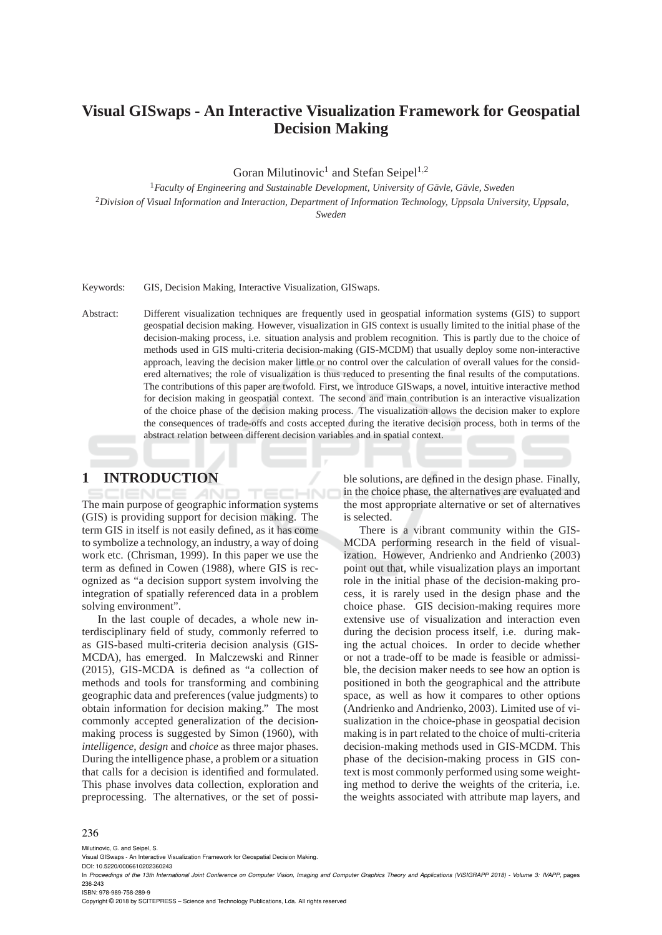# **Visual GISwaps - An Interactive Visualization Framework for Geospatial Decision Making**

Goran Milutinovic<sup>1</sup> and Stefan Seipel<sup>1,2</sup>

<sup>1</sup> Faculty of Engineering and Sustainable Development, University of Gävle, Gävle, Sweden

<sup>2</sup>*Division of Visual Information and Interaction, Department of Information Technology, Uppsala University, Uppsala, Sweden*

Keywords: GIS, Decision Making, Interactive Visualization, GISwaps.

Abstract: Different visualization techniques are frequently used in geospatial information systems (GIS) to support geospatial decision making. However, visualization in GIS context is usually limited to the initial phase of the decision-making process, i.e. situation analysis and problem recognition. This is partly due to the choice of methods used in GIS multi-criteria decision-making (GIS-MCDM) that usually deploy some non-interactive approach, leaving the decision maker little or no control over the calculation of overall values for the considered alternatives; the role of visualization is thus reduced to presenting the final results of the computations. The contributions of this paper are twofold. First, we introduce GISwaps, a novel, intuitive interactive method for decision making in geospatial context. The second and main contribution is an interactive visualization of the choice phase of the decision making process. The visualization allows the decision maker to explore the consequences of trade-offs and costs accepted during the iterative decision process, both in terms of the abstract relation between different decision variables and in spatial context.

 $\exists N$ 

## **1 INTRODUCTION**

The main purpose of geographic information systems (GIS) is providing support for decision making. The term GIS in itself is not easily defined, as it has come to symbolize a technology, an industry, a way of doing work etc. (Chrisman, 1999). In this paper we use the term as defined in Cowen (1988), where GIS is recognized as "a decision support system involving the integration of spatially referenced data in a problem solving environment".

In the last couple of decades, a whole new interdisciplinary field of study, commonly referred to as GIS-based multi-criteria decision analysis (GIS-MCDA), has emerged. In Malczewski and Rinner (2015), GIS-MCDA is defined as "a collection of methods and tools for transforming and combining geographic data and preferences (value judgments) to obtain information for decision making." The most commonly accepted generalization of the decisionmaking process is suggested by Simon (1960), with *intelligence*, *design* and *choice* as three major phases. During the intelligence phase, a problem or a situation that calls for a decision is identified and formulated. This phase involves data collection, exploration and preprocessing. The alternatives, or the set of possi-

ble solutions, are defined in the design phase. Finally, in the choice phase, the alternatives are evaluated and the most appropriate alternative or set of alternatives is selected.

There is a vibrant community within the GIS-MCDA performing research in the field of visualization. However, Andrienko and Andrienko (2003) point out that, while visualization plays an important role in the initial phase of the decision-making process, it is rarely used in the design phase and the choice phase. GIS decision-making requires more extensive use of visualization and interaction even during the decision process itself, i.e. during making the actual choices. In order to decide whether or not a trade-off to be made is feasible or admissible, the decision maker needs to see how an option is positioned in both the geographical and the attribute space, as well as how it compares to other options (Andrienko and Andrienko, 2003). Limited use of visualization in the choice-phase in geospatial decision making is in part related to the choice of multi-criteria decision-making methods used in GIS-MCDM. This phase of the decision-making process in GIS context is most commonly performed using some weighting method to derive the weights of the criteria, i.e. the weights associated with attribute map layers, and

#### 236

Milutinovic, G. and Seipel, S.

DOI: 10.5220/0006610202360243

In *Proceedings of the 13th International Joint Conference on Computer Vision, Imaging and Computer Graphics Theory and Applications (VISIGRAPP 2018) - Volume 3: IVAPP*, pages 236-243

ISBN: 978-989-758-289-9

Copyright © 2018 by SCITEPRESS – Science and Technology Publications, Lda. All rights reserved

Visual GISwaps - An Interactive Visualization Framework for Geospatial Decision Making.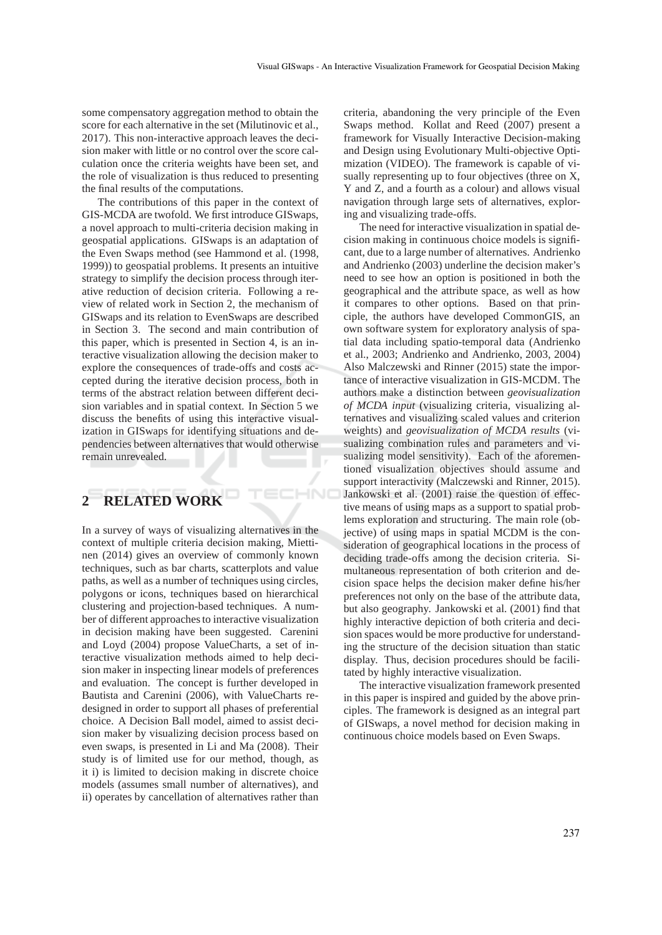some compensatory aggregation method to obtain the score for each alternative in the set (Milutinovic et al., 2017). This non-interactive approach leaves the decision maker with little or no control over the score calculation once the criteria weights have been set, and the role of visualization is thus reduced to presenting the final results of the computations.

The contributions of this paper in the context of GIS-MCDA are twofold. We first introduce GISwaps, a novel approach to multi-criteria decision making in geospatial applications. GISwaps is an adaptation of the Even Swaps method (see Hammond et al. (1998, 1999)) to geospatial problems. It presents an intuitive strategy to simplify the decision process through iterative reduction of decision criteria. Following a review of related work in Section 2, the mechanism of GISwaps and its relation to EvenSwaps are described in Section 3. The second and main contribution of this paper, which is presented in Section 4, is an interactive visualization allowing the decision maker to explore the consequences of trade-offs and costs accepted during the iterative decision process, both in terms of the abstract relation between different decision variables and in spatial context. In Section 5 we discuss the benefits of using this interactive visualization in GISwaps for identifying situations and dependencies between alternatives that would otherwise remain unrevealed.

ECHNO

# **2 RELATED WORK**

In a survey of ways of visualizing alternatives in the context of multiple criteria decision making, Miettinen (2014) gives an overview of commonly known techniques, such as bar charts, scatterplots and value paths, as well as a number of techniques using circles, polygons or icons, techniques based on hierarchical clustering and projection-based techniques. A number of different approaches to interactive visualization in decision making have been suggested. Carenini and Loyd (2004) propose ValueCharts, a set of interactive visualization methods aimed to help decision maker in inspecting linear models of preferences and evaluation. The concept is further developed in Bautista and Carenini (2006), with ValueCharts redesigned in order to support all phases of preferential choice. A Decision Ball model, aimed to assist decision maker by visualizing decision process based on even swaps, is presented in Li and Ma (2008). Their study is of limited use for our method, though, as it i) is limited to decision making in discrete choice models (assumes small number of alternatives), and ii) operates by cancellation of alternatives rather than criteria, abandoning the very principle of the Even Swaps method. Kollat and Reed (2007) present a framework for Visually Interactive Decision-making and Design using Evolutionary Multi-objective Optimization (VIDEO). The framework is capable of visually representing up to four objectives (three on X, Y and Z, and a fourth as a colour) and allows visual navigation through large sets of alternatives, exploring and visualizing trade-offs.

The need for interactive visualization in spatial decision making in continuous choice models is significant, due to a large number of alternatives. Andrienko and Andrienko (2003) underline the decision maker's need to see how an option is positioned in both the geographical and the attribute space, as well as how it compares to other options. Based on that principle, the authors have developed CommonGIS, an own software system for exploratory analysis of spatial data including spatio-temporal data (Andrienko et al., 2003; Andrienko and Andrienko, 2003, 2004) Also Malczewski and Rinner (2015) state the importance of interactive visualization in GIS-MCDM. The authors make a distinction between *geovisualization of MCDA input* (visualizing criteria, visualizing alternatives and visualizing scaled values and criterion weights) and *geovisualization of MCDA results* (visualizing combination rules and parameters and visualizing model sensitivity). Each of the aforementioned visualization objectives should assume and support interactivity (Malczewski and Rinner, 2015). Jankowski et al. (2001) raise the question of effective means of using maps as a support to spatial problems exploration and structuring. The main role (objective) of using maps in spatial MCDM is the consideration of geographical locations in the process of deciding trade-offs among the decision criteria. Simultaneous representation of both criterion and decision space helps the decision maker define his/her preferences not only on the base of the attribute data, but also geography. Jankowski et al. (2001) find that highly interactive depiction of both criteria and decision spaces would be more productive for understanding the structure of the decision situation than static display. Thus, decision procedures should be facilitated by highly interactive visualization.

The interactive visualization framework presented in this paper is inspired and guided by the above principles. The framework is designed as an integral part of GISwaps, a novel method for decision making in continuous choice models based on Even Swaps.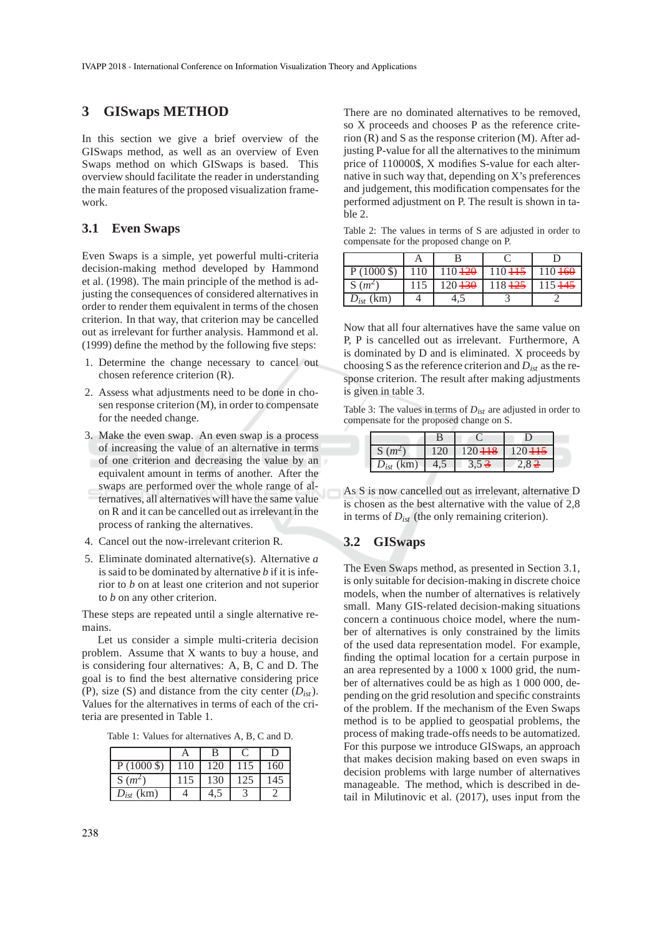### **3 GISwaps METHOD**

In this section we give a brief overview of the GISwaps method, as well as an overview of Even Swaps method on which GISwaps is based. This overview should facilitate the reader in understanding the main features of the proposed visualization framework.

#### **3.1 Even Swaps**

Even Swaps is a simple, yet powerful multi-criteria decision-making method developed by Hammond et al. (1998). The main principle of the method is adjusting the consequences of considered alternatives in order to render them equivalent in terms of the chosen criterion. In that way, that criterion may be cancelled out as irrelevant for further analysis. Hammond et al. (1999) define the method by the following five steps:

- 1. Determine the change necessary to cancel out chosen reference criterion (R).
- 2. Assess what adjustments need to be done in chosen response criterion (M), in order to compensate for the needed change.
- 3. Make the even swap. An even swap is a process of increasing the value of an alternative in terms of one criterion and decreasing the value by an equivalent amount in terms of another. After the swaps are performed over the whole range of alternatives, all alternatives will have the same value on R and it can be cancelled out as irrelevant in the process of ranking the alternatives.
- 4. Cancel out the now-irrelevant criterion R.
- 5. Eliminate dominated alternative(s). Alternative *a* is said to be dominated by alternative *b* if it is inferior to *b* on at least one criterion and not superior to *b* on any other criterion.

These steps are repeated until a single alternative remains.

Let us consider a simple multi-criteria decision problem. Assume that X wants to buy a house, and is considering four alternatives: A, B, C and D. The goal is to find the best alternative considering price (P), size (S) and distance from the city center (*Dist*). Values for the alternatives in terms of each of the criteria are presented in Table 1.

Table 1: Values for alternatives A, B, C and D.

|                             |     | В   |     | Ð   |
|-----------------------------|-----|-----|-----|-----|
| $P(1000 \text{ } \text{S})$ | 110 | 120 | 115 | 160 |
| $S(m^2)$                    | 115 | 130 | 125 | 145 |
| $D_{ist}$ (km)              |     |     |     |     |

There are no dominated alternatives to be removed, so X proceeds and chooses P as the reference criterion (R) and S as the response criterion (M). After adjusting P-value for all the alternatives to the minimum price of 110000\$, X modifies S-value for each alternative in such way that, depending on X's preferences and judgement, this modification compensates for the performed adjustment on P. The result is shown in table 2.

Table 2: The values in terms of S are adjusted in order to compensate for the proposed change on P.

| $P(1000 \text{ } \text{\textcircled{s}})$ | 110 <del>120</del> | 110 <del>115</del> | 110 <del>160</del> |
|-------------------------------------------|--------------------|--------------------|--------------------|
| $S(m^2)$                                  | $120 + 30$         | 118 <del>125</del> | 115 <del>145</del> |
| (km)<br>$D_{ist}$                         |                    |                    |                    |

Now that all four alternatives have the same value on P, P is cancelled out as irrelevant. Furthermore, A is dominated by D and is eliminated. X proceeds by choosing S as the reference criterion and *Dist* as the response criterion. The result after making adjustments is given in table 3.

Table 3: The values in terms of *Dist* are adjusted in order to compensate for the proposed change on S.

|                   | B |                   |                    |  |
|-------------------|---|-------------------|--------------------|--|
| (m <sub>1</sub> ) |   | 20 <del>118</del> | 20 <del>1 15</del> |  |
| $D_{ist}$ (km)    |   | $\rightarrow$     |                    |  |

As S is now cancelled out as irrelevant, alternative D is chosen as the best alternative with the value of 2,8 in terms of *Dist* (the only remaining criterion).

#### **3.2 GISwaps**

The Even Swaps method, as presented in Section 3.1, is only suitable for decision-making in discrete choice models, when the number of alternatives is relatively small. Many GIS-related decision-making situations concern a continuous choice model, where the number of alternatives is only constrained by the limits of the used data representation model. For example, finding the optimal location for a certain purpose in an area represented by a 1000 x 1000 grid, the number of alternatives could be as high as 1 000 000, depending on the grid resolution and specific constraints of the problem. If the mechanism of the Even Swaps method is to be applied to geospatial problems, the process of making trade-offs needs to be automatized. For this purpose we introduce GISwaps, an approach that makes decision making based on even swaps in decision problems with large number of alternatives manageable. The method, which is described in detail in Milutinovic et al. (2017), uses input from the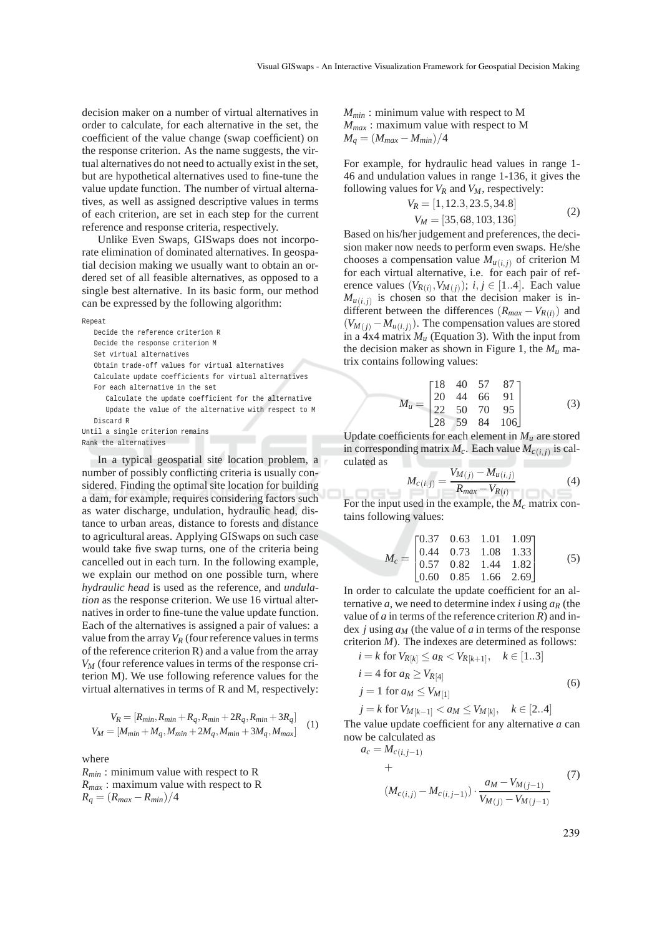decision maker on a number of virtual alternatives in order to calculate, for each alternative in the set, the coefficient of the value change (swap coefficient) on the response criterion. As the name suggests, the virtual alternatives do not need to actually exist in the set, but are hypothetical alternatives used to fine-tune the value update function. The number of virtual alternatives, as well as assigned descriptive values in terms of each criterion, are set in each step for the current reference and response criteria, respectively.

Unlike Even Swaps, GISwaps does not incorporate elimination of dominated alternatives. In geospatial decision making we usually want to obtain an ordered set of all feasible alternatives, as opposed to a single best alternative. In its basic form, our method can be expressed by the following algorithm:

Repeat

Decide the reference criterion R Decide the response criterion M Set virtual alternatives Obtain trade-off values for virtual alternatives Calculate update coefficients for virtual alternatives For each alternative in the set Calculate the update coefficient for the alternative

Update the value of the alternative with respect to M Discard R Until a single criterion remains

Rank the alternatives

In a typical geospatial site location problem, a number of possibly conflicting criteria is usually considered. Finding the optimal site location for building a dam, for example, requires considering factors such as water discharge, undulation, hydraulic head, distance to urban areas, distance to forests and distance to agricultural areas. Applying GISwaps on such case would take five swap turns, one of the criteria being cancelled out in each turn. In the following example, we explain our method on one possible turn, where *hydraulic head* is used as the reference, and *undulation* as the response criterion. We use 16 virtual alternatives in order to fine-tune the value update function. Each of the alternatives is assigned a pair of values: a value from the array  $V_R$  (four reference values in terms of the reference criterion R) and a value from the array *V<sup>M</sup>* (four reference values in terms of the response criterion M). We use following reference values for the virtual alternatives in terms of R and M, respectively:

$$
V_R = [R_{min}, R_{min} + R_q, R_{min} + 2R_q, R_{min} + 3R_q]
$$
  

$$
V_M = [M_{min} + M_q, M_{min} + 2M_q, M_{min} + 3M_q, M_{max}]
$$
 (1)

where

*Rmin* : minimum value with respect to R *Rmax* : maximum value with respect to R  $R_a = (R_{max} - R_{min})/4$ 

*Mmin* : minimum value with respect to M *Mmax* : maximum value with respect to M  $M_q = (M_{max} - M_{min})/4$ 

For example, for hydraulic head values in range 1- 46 and undulation values in range 1-136, it gives the following values for  $V_R$  and  $V_M$ , respectively:

$$
V_R = [1, 12.3, 23.5, 34.8]
$$
  

$$
V_M = [35, 68, 103, 136]
$$
 (2)

Based on his/her judgement and preferences, the decision maker now needs to perform even swaps. He/she chooses a compensation value  $M_{u(i,j)}$  of criterion M for each virtual alternative, i.e. for each pair of reference values  $(V_{R(i)}, V_{M(j)})$ ;  $i, j \in [1..4]$ . Each value  $M_{u(i,j)}$  is chosen so that the decision maker is indifferent between the differences  $(R_{max} - V_{R(i)})$  and  $(V_{M(j)} - M_{u(i,j)})$ . The compensation values are stored in a  $4x4$  matrix  $M_u$  (Equation 3). With the input from the decision maker as shown in Figure 1, the  $M_u$  matrix contains following values:

$$
M_u = \begin{bmatrix} 18 & 40 & 57 & 87 \\ 20 & 44 & 66 & 91 \\ 22 & 50 & 70 & 95 \\ 28 & 59 & 84 & 106 \end{bmatrix}
$$
 (3)

Update coefficients for each element in  $M<sub>u</sub>$  are stored in corresponding matrix  $M_c$ . Each value  $M_c(i,j)$  is calculated as

 $\overline{M}$ 

$$
V_{c(i,j)} = \frac{V_{M(j)} - M_{u(i,j)}}{R_{max} - V_{R(i)}}\tag{4}
$$

For the input used in the example, the *M<sup>c</sup>* matrix contains following values:

$$
M_c = \begin{bmatrix} 0.37 & 0.63 & 1.01 & 1.09 \\ 0.44 & 0.73 & 1.08 & 1.33 \\ 0.57 & 0.82 & 1.44 & 1.82 \\ 0.60 & 0.85 & 1.66 & 2.69 \end{bmatrix}
$$
 (5)

In order to calculate the update coefficient for an alternative *a*, we need to determine index *i* using  $a<sub>R</sub>$  (the value of *a* in terms of the reference criterion *R*) and index *j* using *a<sup>M</sup>* (the value of *a* in terms of the response criterion *M*). The indexes are determined as follows: *i I C*<sub>*R*</sub>*R* ∠ ∠ *xR*<sub>*k*</sub>  $y = [1, 3]$ 

$$
i = k \text{ for } V_{R[k]} \leq a_R < V_{R[k+1]}, \quad k \in [1..5]
$$
\n
$$
i = 4 \text{ for } a_R \geq V_{R[4]}
$$
\n
$$
j = 1 \text{ for } a_M \leq V_{M[1]}
$$
\n
$$
(6)
$$

$$
j = k
$$
 for  $V_{M[k-1]} < a_M \le V_{M[k]}$ ,  $k \in [2..4]$   
The value update coefficient for any alternative *a* can  
now be calculated as

$$
a_c = M_{c(i,j-1)} + \t\t (M_{c(i,j)} - M_{c(i,j-1)}) \cdot \frac{a_M - V_{M(j-1)}}{V_{M(j)} - V_{M(j-1)}} \t(7)
$$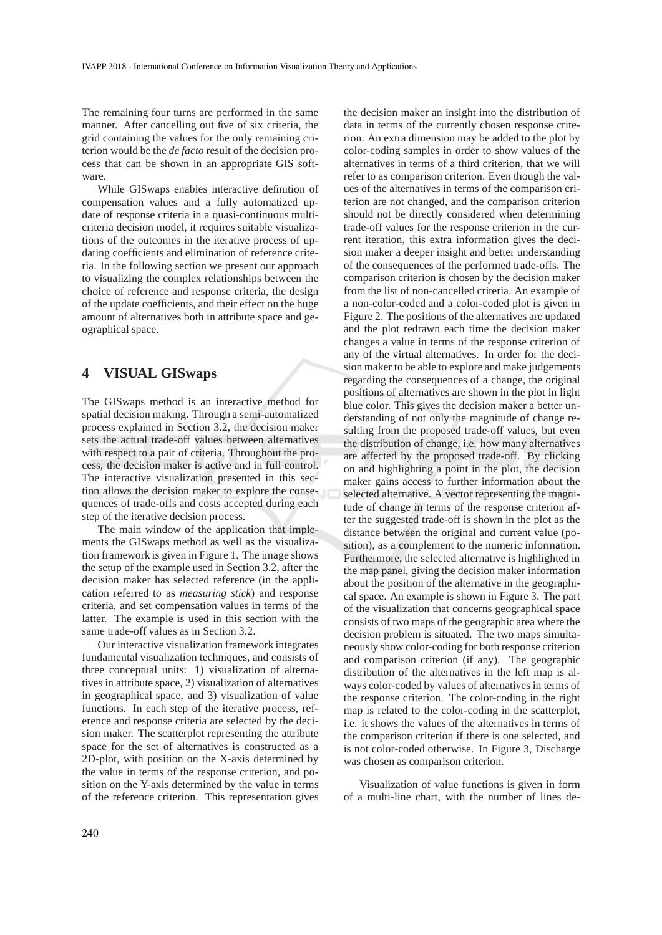The remaining four turns are performed in the same manner. After cancelling out five of six criteria, the grid containing the values for the only remaining criterion would be the *de facto* result of the decision process that can be shown in an appropriate GIS software.

While GISwaps enables interactive definition of compensation values and a fully automatized update of response criteria in a quasi-continuous multicriteria decision model, it requires suitable visualizations of the outcomes in the iterative process of updating coefficients and elimination of reference criteria. In the following section we present our approach to visualizing the complex relationships between the choice of reference and response criteria, the design of the update coefficients, and their effect on the huge amount of alternatives both in attribute space and geographical space.

## **4 VISUAL GISwaps**

The GISwaps method is an interactive method for spatial decision making. Through a semi-automatized process explained in Section 3.2, the decision maker sets the actual trade-off values between alternatives with respect to a pair of criteria. Throughout the process, the decision maker is active and in full control. The interactive visualization presented in this section allows the decision maker to explore the consequences of trade-offs and costs accepted during each step of the iterative decision process.

The main window of the application that implements the GISwaps method as well as the visualization framework is given in Figure 1. The image shows the setup of the example used in Section 3.2, after the decision maker has selected reference (in the application referred to as *measuring stick*) and response criteria, and set compensation values in terms of the latter. The example is used in this section with the same trade-off values as in Section 3.2.

Our interactive visualization framework integrates fundamental visualization techniques, and consists of three conceptual units: 1) visualization of alternatives in attribute space, 2) visualization of alternatives in geographical space, and 3) visualization of value functions. In each step of the iterative process, reference and response criteria are selected by the decision maker. The scatterplot representing the attribute space for the set of alternatives is constructed as a 2D-plot, with position on the X-axis determined by the value in terms of the response criterion, and position on the Y-axis determined by the value in terms of the reference criterion. This representation gives

the decision maker an insight into the distribution of data in terms of the currently chosen response criterion. An extra dimension may be added to the plot by color-coding samples in order to show values of the alternatives in terms of a third criterion, that we will refer to as comparison criterion. Even though the values of the alternatives in terms of the comparison criterion are not changed, and the comparison criterion should not be directly considered when determining trade-off values for the response criterion in the current iteration, this extra information gives the decision maker a deeper insight and better understanding of the consequences of the performed trade-offs. The comparison criterion is chosen by the decision maker from the list of non-cancelled criteria. An example of a non-color-coded and a color-coded plot is given in Figure 2. The positions of the alternatives are updated and the plot redrawn each time the decision maker changes a value in terms of the response criterion of any of the virtual alternatives. In order for the decision maker to be able to explore and make judgements regarding the consequences of a change, the original positions of alternatives are shown in the plot in light blue color. This gives the decision maker a better understanding of not only the magnitude of change resulting from the proposed trade-off values, but even the distribution of change, i.e. how many alternatives are affected by the proposed trade-off. By clicking on and highlighting a point in the plot, the decision maker gains access to further information about the selected alternative. A vector representing the magnitude of change in terms of the response criterion after the suggested trade-off is shown in the plot as the distance between the original and current value (position), as a complement to the numeric information. Furthermore, the selected alternative is highlighted in the map panel, giving the decision maker information about the position of the alternative in the geographical space. An example is shown in Figure 3. The part of the visualization that concerns geographical space consists of two maps of the geographic area where the decision problem is situated. The two maps simultaneously show color-coding for both response criterion and comparison criterion (if any). The geographic distribution of the alternatives in the left map is always color-coded by values of alternatives in terms of the response criterion. The color-coding in the right map is related to the color-coding in the scatterplot, i.e. it shows the values of the alternatives in terms of the comparison criterion if there is one selected, and is not color-coded otherwise. In Figure 3, Discharge was chosen as comparison criterion.

Visualization of value functions is given in form of a multi-line chart, with the number of lines de-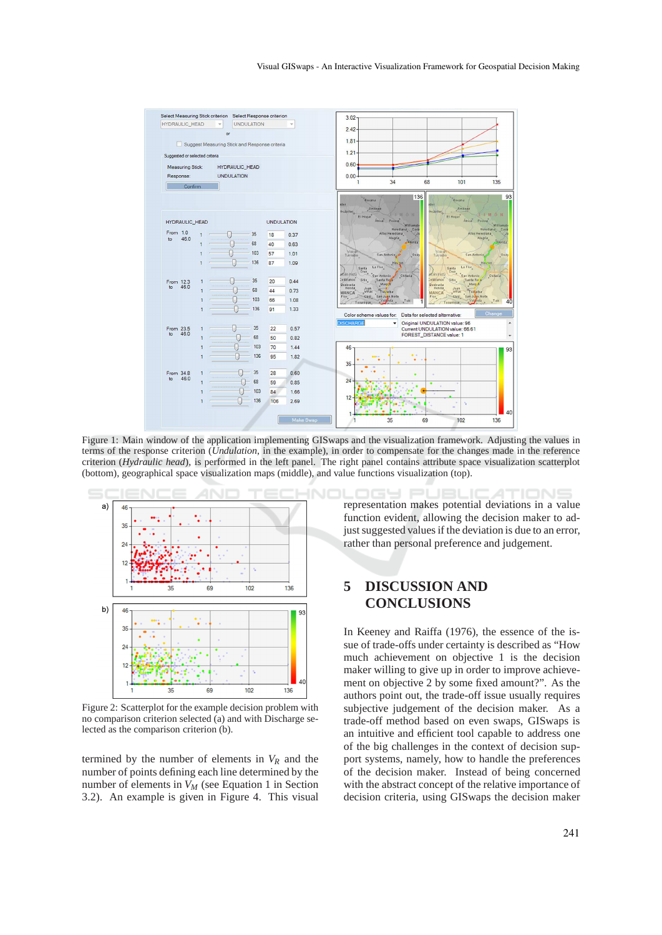

Figure 1: Main window of the application implementing GISwaps and the visualization framework. Adjusting the values in terms of the response criterion (*Undulation*, in the example), in order to compensate for the changes made in the reference criterion (*Hydraulic head*), is performed in the left panel. The right panel contains attribute space visualization scatterplot (bottom), geographical space visualization maps (middle), and value functions visualization (top).



Figure 2: Scatterplot for the example decision problem with no comparison criterion selected (a) and with Discharge selected as the comparison criterion (b).

termined by the number of elements in  $V_R$  and the number of points defining each line determined by the number of elements in *V<sup>M</sup>* (see Equation 1 in Section 3.2). An example is given in Figure 4. This visual

OGY PI ATIC representation makes potential deviations in a value function evident, allowing the decision maker to adjust suggested values if the deviation is due to an error, rather than personal preference and judgement.

## **5 DISCUSSION AND CONCLUSIONS**

In Keeney and Raiffa (1976), the essence of the issue of trade-offs under certainty is described as "How much achievement on objective 1 is the decision maker willing to give up in order to improve achievement on objective 2 by some fixed amount?". As the authors point out, the trade-off issue usually requires subjective judgement of the decision maker. As a trade-off method based on even swaps, GISwaps is an intuitive and efficient tool capable to address one of the big challenges in the context of decision support systems, namely, how to handle the preferences of the decision maker. Instead of being concerned with the abstract concept of the relative importance of decision criteria, using GISwaps the decision maker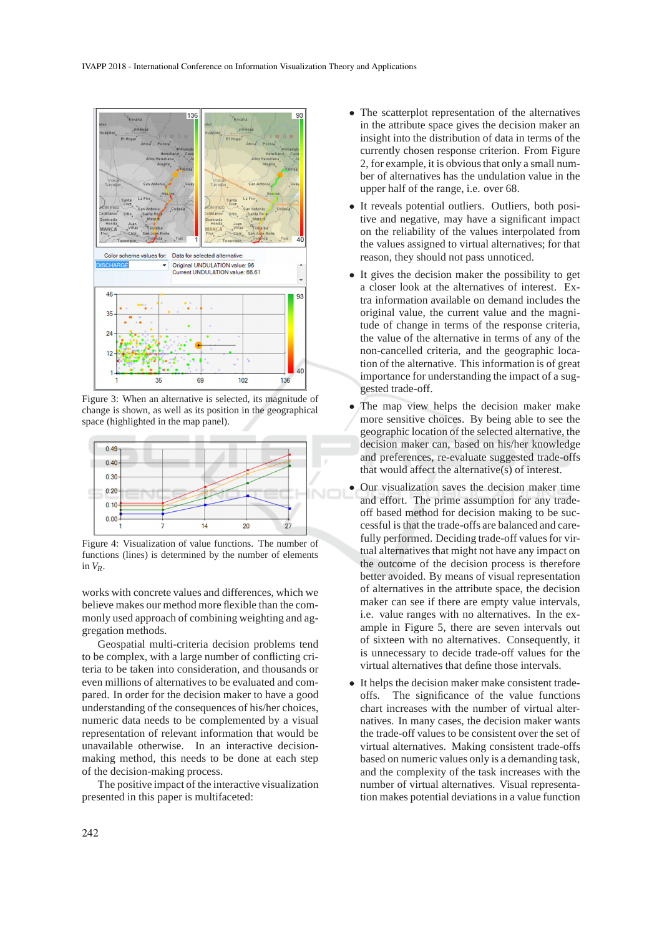

Figure 3: When an alternative is selected, its magnitude of change is shown, as well as its position in the geographical space (highlighted in the map panel).



Figure 4: Visualization of value functions. The number of functions (lines) is determined by the number of elements in  $V_R$ .

works with concrete values and differences, which we believe makes our method more flexible than the commonly used approach of combining weighting and aggregation methods.

Geospatial multi-criteria decision problems tend to be complex, with a large number of conflicting criteria to be taken into consideration, and thousands or even millions of alternatives to be evaluated and compared. In order for the decision maker to have a good understanding of the consequences of his/her choices, numeric data needs to be complemented by a visual representation of relevant information that would be unavailable otherwise. In an interactive decisionmaking method, this needs to be done at each step of the decision-making process.

The positive impact of the interactive visualization presented in this paper is multifaceted:

- The scatterplot representation of the alternatives in the attribute space gives the decision maker an insight into the distribution of data in terms of the currently chosen response criterion. From Figure 2, for example, it is obvious that only a small number of alternatives has the undulation value in the upper half of the range, i.e. over 68.
- It reveals potential outliers. Outliers, both positive and negative, may have a significant impact on the reliability of the values interpolated from the values assigned to virtual alternatives; for that reason, they should not pass unnoticed.
- It gives the decision maker the possibility to get a closer look at the alternatives of interest. Extra information available on demand includes the original value, the current value and the magnitude of change in terms of the response criteria, the value of the alternative in terms of any of the non-cancelled criteria, and the geographic location of the alternative. This information is of great importance for understanding the impact of a suggested trade-off.
- The map view helps the decision maker make more sensitive choices. By being able to see the geographic location of the selected alternative, the decision maker can, based on his/her knowledge and preferences, re-evaluate suggested trade-offs that would affect the alternative(s) of interest.
- Our visualization saves the decision maker time and effort. The prime assumption for any tradeoff based method for decision making to be successful is that the trade-offs are balanced and carefully performed. Deciding trade-off values for virtual alternatives that might not have any impact on the outcome of the decision process is therefore better avoided. By means of visual representation of alternatives in the attribute space, the decision maker can see if there are empty value intervals, i.e. value ranges with no alternatives. In the example in Figure 5, there are seven intervals out of sixteen with no alternatives. Consequently, it is unnecessary to decide trade-off values for the virtual alternatives that define those intervals.
- It helps the decision maker make consistent trade-<br>offs. The significance of the value functions The significance of the value functions chart increases with the number of virtual alternatives. In many cases, the decision maker wants the trade-off values to be consistent over the set of virtual alternatives. Making consistent trade-offs based on numeric values only is a demanding task, and the complexity of the task increases with the number of virtual alternatives. Visual representation makes potential deviations in a value function